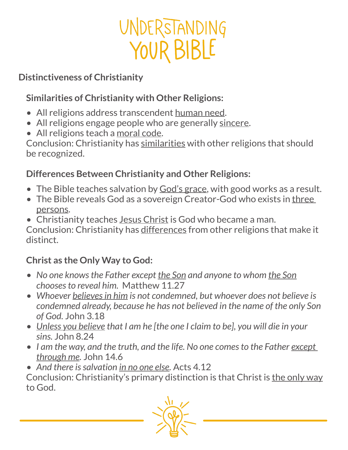# UNDERSTANDING<br>YOUR BIBLE

### **Distinctiveness of Christianity**

## **Similarities of Christianity with Other Religions:**

- All religions address transcendent human need.
- All religions engage people who are generally sincere.
- All religions teach a moral code.

Conclusion: Christianity has similarities with other religions that should be recognized.

# **Differences Between Christianity and Other Religions:**

- The Bible teaches salvation by God's grace, with good works as a result.
- The Bible reveals God as a sovereign Creator-God who exists in three persons.
- Christianity teaches Jesus Christ is God who became a man.

Conclusion: Christianity has differences from other religions that make it distinct.

# **Christ as the Only Way to God:**

- *• No one knows the Father except the Son and anyone to whom the Son chooses to reveal him.* Matthew 11.27
- *• Whoever believes in him is not condemned, but whoever does not believe is condemned already, because he has not believed in the name of the only Son of God.* John 3.18
- *• Unless you believe that I am he [the one I claim to be], you will die in your sins.* John 8.24
- *• I am the way, and the truth, and the life. No one comes to the Father except through me.* John 14.6

• And there is salvation in no one else. Acts 4.12

Conclusion: Christianity's primary distinction is that Christ is the only way to God.

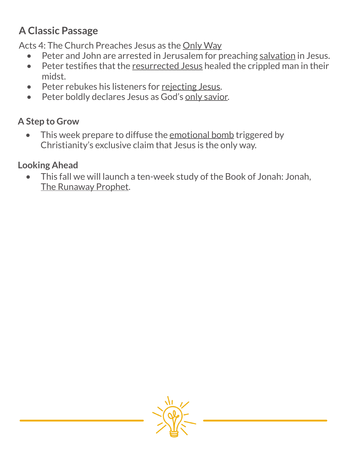# **A Classic Passage**

Acts 4: The Church Preaches Jesus as the Only Way

- Peter and John are arrested in Jerusalem for preaching salvation in Jesus.
- Peter testifies that the resurrected Jesus healed the crippled man in their midst.
- Peter rebukes his listeners for rejecting Jesus.
- Peter boldly declares Jesus as God's only savior.

### **A Step to Grow**

This week prepare to diffuse the emotional bomb triggered by Christianity's exclusive claim that Jesus is the only way.

### **Looking Ahead**

• This fall we will launch a ten-week study of the Book of Jonah: Jonah, The Runaway Prophet.

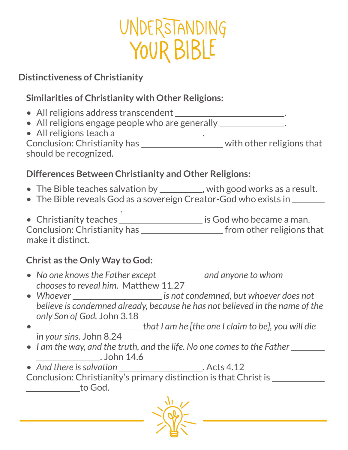# UNDERSTANDING **YOUR BIBLE**

### **Distinctiveness of Christianity**

## **Similarities of Christianity with Other Religions:**

- All religions address transcendent \_\_\_\_\_\_\_\_\_\_\_\_\_\_\_\_\_\_\_\_\_\_\_\_\_\_.
- All religions engage people who are generally \_\_\_\_\_\_\_\_\_\_\_\_\_\_\_.
- All religions teach a .

• All religions teach a \_\_\_\_\_\_\_\_\_\_\_\_\_\_\_\_\_\_\_\_\_.<br>Conclusion: Christianity has \_\_\_\_\_\_\_\_\_\_\_\_\_\_\_\_\_\_\_\_\_\_\_ with other religions that should be recognized.

### **Differences Between Christianity and Other Religions:**

- The Bible teaches salvation by \_\_\_\_\_\_\_\_\_, with good works as a result.
- The Bible reveals God as a sovereign Creator-God who exists in \_\_\_\_\_\_\_

 . • Christianity teaches \_\_\_\_\_\_\_\_\_\_\_\_\_\_\_\_\_\_\_\_ is God who became a man. Conclusion: Christianity has  $\sqrt{2\pi}$  from other religions that make it distinct.

# **Christ as the Only Way to God:**

- No one knows the Father except \_\_\_\_\_\_\_\_\_ and anyone to whom \_\_\_\_\_\_\_ *chooses to reveal him.* Matthew 11.27
- Whoever <u>comes and *whoever*</u> is not condemned, but whoever does not *believe is condemned already, because he has not believed in the name of the only Son of God.* John 3.18
- *that I am he [the one I claim to be], you will die in your sins.* John 8.24
- *• I am the way, and the truth, and the life. No one comes to the Father .* John 14.6

• And there is salvation **example 20 and there is salvation** Conclusion: Christianity's primary distinction is that Christ is to God.